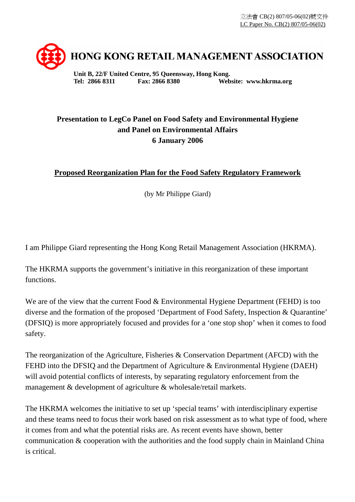

**Unit B, 22/F United Centre, 95 Queensway, Hong Kong. Tel: 2866 8311 Fax: 2866 8380 Website: www.hkrma.org** 

## **Presentation to LegCo Panel on Food Safety and Environmental Hygiene and Panel on Environmental Affairs 6 January 2006**

## **Proposed Reorganization Plan for the Food Safety Regulatory Framework**

(by Mr Philippe Giard)

I am Philippe Giard representing the Hong Kong Retail Management Association (HKRMA).

The HKRMA supports the government's initiative in this reorganization of these important functions.

We are of the view that the current Food & Environmental Hygiene Department (FEHD) is too diverse and the formation of the proposed 'Department of Food Safety, Inspection & Quarantine' (DFSIQ) is more appropriately focused and provides for a 'one stop shop' when it comes to food safety.

The reorganization of the Agriculture, Fisheries & Conservation Department (AFCD) with the FEHD into the DFSIQ and the Department of Agriculture & Environmental Hygiene (DAEH) will avoid potential conflicts of interests, by separating regulatory enforcement from the management & development of agriculture & wholesale/retail markets.

The HKRMA welcomes the initiative to set up 'special teams' with interdisciplinary expertise and these teams need to focus their work based on risk assessment as to what type of food, where it comes from and what the potential risks are. As recent events have shown, better communication & cooperation with the authorities and the food supply chain in Mainland China is critical.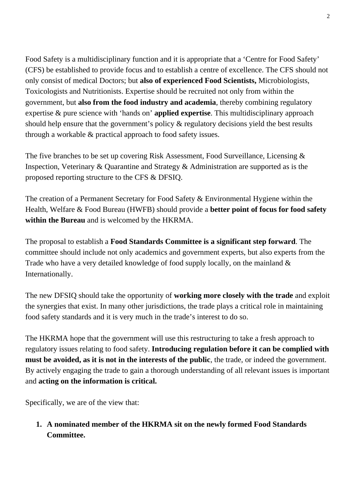Food Safety is a multidisciplinary function and it is appropriate that a 'Centre for Food Safety' (CFS) be established to provide focus and to establish a centre of excellence. The CFS should not only consist of medical Doctors; but **also of experienced Food Scientists,** Microbiologists, Toxicologists and Nutritionists. Expertise should be recruited not only from within the government, but **also from the food industry and academia**, thereby combining regulatory expertise & pure science with 'hands on' **applied expertise**. This multidisciplinary approach should help ensure that the government's policy & regulatory decisions yield the best results through a workable & practical approach to food safety issues.

The five branches to be set up covering Risk Assessment, Food Surveillance, Licensing & Inspection, Veterinary & Quarantine and Strategy & Administration are supported as is the proposed reporting structure to the CFS & DFSIQ.

The creation of a Permanent Secretary for Food Safety & Environmental Hygiene within the Health, Welfare & Food Bureau (HWFB) should provide a **better point of focus for food safety within the Bureau** and is welcomed by the HKRMA.

The proposal to establish a **Food Standards Committee is a significant step forward**. The committee should include not only academics and government experts, but also experts from the Trade who have a very detailed knowledge of food supply locally, on the mainland & Internationally.

The new DFSIQ should take the opportunity of **working more closely with the trade** and exploit the synergies that exist. In many other jurisdictions, the trade plays a critical role in maintaining food safety standards and it is very much in the trade's interest to do so.

The HKRMA hope that the government will use this restructuring to take a fresh approach to regulatory issues relating to food safety. **Introducing regulation before it can be complied with must be avoided, as it is not in the interests of the public**, the trade, or indeed the government. By actively engaging the trade to gain a thorough understanding of all relevant issues is important and **acting on the information is critical.**

Specifically, we are of the view that:

**1. A nominated member of the HKRMA sit on the newly formed Food Standards Committee.**